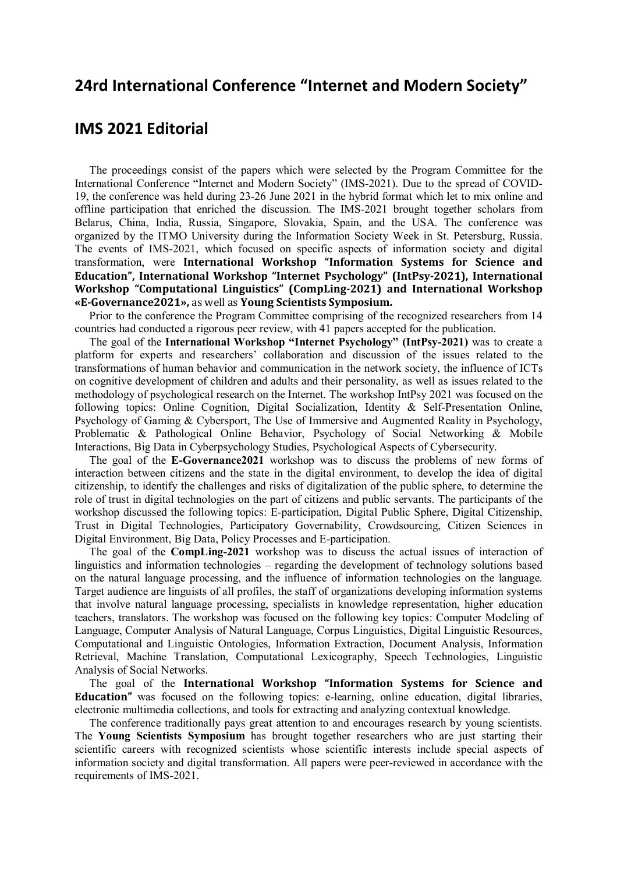## **24rd International Conference "Internet and Modern Society"**

## **IMS 2021 Editorial**

The proceedings consist of the papers which were selected by the Program Committee for the International Conference "Internet and Modern Society" (IMS-2021). Due to the spread of COVID-19, the conference was held during 23-26 June 2021 in the hybrid format which let to mix online and offline participation that enriched the discussion. The IMS-2021 brought together scholars from Belarus, China, India, Russia, Singapore, Slovakia, Spain, and the USA. The conference was organized by the ITMO University during the Information Society Week in St. Petersburg, Russia. The events of IMS-2021, which focused on specific aspects of information society and digital transformation, were **International Workshop "Information Systems for Science and Education", International Workshop "Internet Psychology" (IntPsy-2021), International Workshop "Computational Linguistics" (CompLing-2021) and International Workshop «E-Governance2021»,** as well as **Young Scientists Symposium.** 

Prior to the conference the Program Committee comprising of the recognized researchers from 14 countries had conducted a rigorous peer review, with 41 papers accepted for the publication.

The goal of the **International Workshop "Internet Psychology" (IntPsy-2021)** was to create a platform for experts and researchers' collaboration and discussion of the issues related to the transformations of human behavior and communication in the network society, the influence of ICTs on cognitive development of children and adults and their personality, as well as issues related to the methodology of psychological research on the Internet. The workshop IntPsy 2021 was focused on the following topics: Online Cognition, Digital Socialization, Identity & Self-Presentation Online, Psychology of Gaming & Cybersport, The Use of Immersive and Augmented Reality in Psychology, Problematic & Pathological Online Behavior, Psychology of Social Networking & Mobile Interactions, Big Data in Cyberpsychology Studies, Psychological Aspects of Cybersecurity.

The goal of the **E-Governance2021** workshop was to discuss the problems of new forms of interaction between citizens and the state in the digital environment, to develop the idea of digital citizenship, to identify the challenges and risks of digitalization of the public sphere, to determine the role of trust in digital technologies on the part of citizens and public servants. The participants of the workshop discussed the following topics: E-participation, Digital Public Sphere, Digital Citizenship, Trust in Digital Technologies, Participatory Governability, Crowdsourcing, Citizen Sciences in Digital Environment, Big Data, Policy Processes and E-participation.

The goal of the **CompLing-2021** workshop was to discuss the actual issues of interaction of linguistics and information technologies – regarding the development of technology solutions based on the natural language processing, and the influence of information technologies on the language. Target audience are linguists of all profiles, the staff of organizations developing information systems that involve natural language processing, specialists in knowledge representation, higher education teachers, translators. The workshop was focused on the following key topics: Computer Modeling of Language, Computer Analysis of Natural Language, Corpus Linguistics, Digital Linguistic Resources, Computational and Linguistic Ontologies, Information Extraction, Document Analysis, Information Retrieval, Machine Translation, Computational Lexicography, Speech Technologies, Linguistic Analysis of Social Networks.

The goal of the **International Workshop "Information Systems for Science and Education"** was focused on the following topics: e-learning, online education, digital libraries, electronic multimedia collections, and tools for extracting and analyzing contextual knowledge.

The conference traditionally pays great attention to and encourages research by young scientists. The **Young Scientists Symposium** has brought together researchers who are just starting their scientific careers with recognized scientists whose scientific interests include special aspects of information society and digital transformation. All papers were peer-reviewed in accordance with the requirements of IMS-2021.